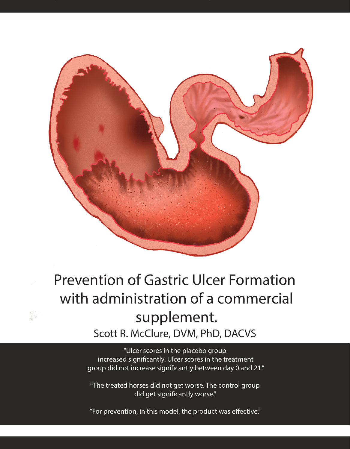

## Prevention of Gastric Ulcer Formation with administration of a commercial supplement. Scott R. McClure, DVM, PhD, DACVS

"Ulcer scores in the placebo group increased significantly. Ulcer scores in the treatment group did not increase significantly between day 0 and 21."

"The treated horses did not get worse. The control group did get significantly worse."

"For prevention, in this model, the product was effective."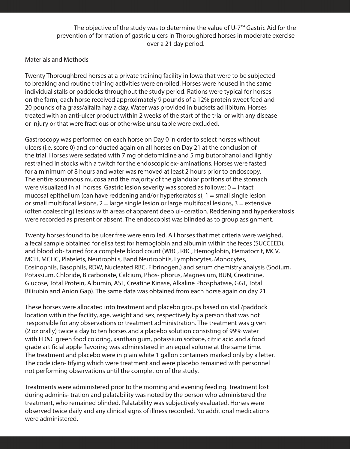The objective of the study was to determine the value of U-7™ Gastric Aid for the prevention of formation of gastric ulcers in Thoroughbred horses in moderate exercise over a 21 day period.

## Materials and Methods

Twenty Thoroughbred horses at a private training facility in Iowa that were to be subjected to breaking and routine training activities were enrolled. Horses were housed in the same individual stalls or paddocks throughout the study period. Rations were typical for horses on the farm, each horse received approximately 9 pounds of a 12% protein sweet feed and 20 pounds of a grass/alfalfa hay a day. Water was provided in buckets ad libitum. Horses treated with an anti-ulcer product within 2 weeks of the start of the trial or with any disease or injury or that were fractious or otherwise unsuitable were excluded.

Gastroscopy was performed on each horse on Day 0 in order to select horses without ulcers (i.e. score 0) and conducted again on all horses on Day 21 at the conclusion of the trial. Horses were sedated with 7 mg of detomidine and 5 mg butorphanol and lightly restrained in stocks with a twitch for the endoscopic ex- aminations. Horses were fasted for a minimum of 8 hours and water was removed at least 2 hours prior to endoscopy. The entire squamous mucosa and the majority of the glandular portions of the stomach were visualized in all horses. Gastric lesion severity was scored as follows:  $0 =$  intact mucosal epithelium (can have reddening and/or hyperkeratosis),  $1 =$  small single lesion or small multifocal lesions,  $2 = \text{large single lesion or large multifocal lesions}, 3 = \text{extensive}$ (often coalescing) lesions with areas of apparent deep ul- ceration. Reddening and hyperkeratosis were recorded as present or absent. The endoscopist was blinded as to group assignment.

Twenty horses found to be ulcer free were enrolled. All horses that met criteria were weighed, a fecal sample obtained for elisa test for hemoglobin and albumin within the feces (SUCCEED), and blood ob- tained for a complete blood count (WBC, RBC, Hemoglobin, Hematocrit, MCV, MCH, MCHC, Platelets, Neutrophils, Band Neutrophils, Lymphocytes, Monocytes, Eosinophils, Basophils, RDW, Nucleated RBC, Fibrinogen,) and serum chemistry analysis (Sodium, Potassium, Chloride, Bicarbonate, Calcium, Phos- phorus, Magnesium, BUN, Creatinine, Glucose, Total Protein, Albumin, AST, Creatine Kinase, Alkaline Phosphatase, GGT, Total Bilirubin and Anion Gap). The same data was obtained from each horse again on day 21.

These horses were allocated into treatment and placebo groups based on stall/paddock location within the facility, age, weight and sex, respectively by a person that was not responsible for any observations or treatment administration. The treatment was given (2 oz orally) twice a day to ten horses and a placebo solution consisting of 99% water with FD&C green food coloring, xanthan gum, potassium sorbate, citric acid and a food grade artificial apple flavoring was administered in an equal volume at the same time. The treatment and placebo were in plain white 1 gallon containers marked only by a letter. The code iden- tifying which were treatment and were placebo remained with personnel not performing observations until the completion of the study.

Treatments were administered prior to the morning and evening feeding. Treatment lost during adminis- tration and palatability was noted by the person who administered the treatment, who remained blinded. Palatability was subjectively evaluated. Horses were observed twice daily and any clinical signs of illness recorded. No additional medications were administered.